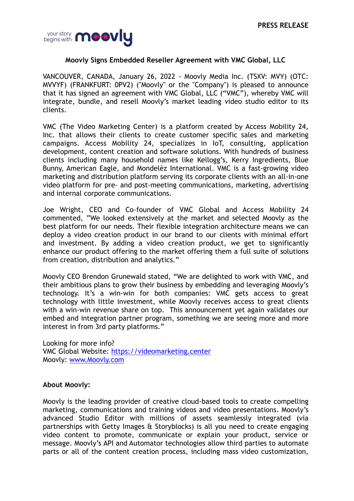

## **Moovly Signs Embedded Reseller Agreement with VMC Global, LLC**

VANCOUVER, CANADA, January 26, 2022 - Moovly Media Inc. (TSXV: MVY) (OTC: MVVYF) (FRANKFURT: 0PV2) ("Moovly" or the "Company") is pleased to announce that it has signed an agreement with VMC Global, LLC ("VMC"), whereby VMC will integrate, bundle, and resell Moovly's market leading video studio editor to its clients.

VMC (The Video Marketing Center) is a platform created by Access Mobility 24, Inc. that allows their clients to create customer specific sales and marketing campaigns. Access Mobility 24, specializes in IoT, consulting, application development, content creation and software solutions. With hundreds of business clients including many household names like Kellogg's, Kerry Ingredients, Blue Bunny, American Eagle, and Mondelèz International. VMC is a fast-growing video marketing and distribution platform serving its corporate clients with an all-in-one video platform for pre- and post-meeting communications, marketing, advertising and internal corporate communications.

Joe Wright, CEO and Co-founder of VMC Global and Access Mobility 24 commented, "We looked extensively at the market and selected Moovly as the best platform for our needs. Their flexible integration architecture means we can deploy a video creation product in our brand to our clients with minimal effort and investment. By adding a video creation product, we get to significantly enhance our product offering to the market offering them a full suite of solutions from creation, distribution and analytics."

Moovly CEO Brendon Grunewald stated, "We are delighted to work with VMC, and their ambitious plans to grow their business by embedding and leveraging Moovly's technology. It's a win-win for both companies: VMC gets access to great technology with little investment, while Moovly receives access to great clients with a win-win revenue share on top. This announcement yet again validates our embed and integration partner program, something we are seeing more and more interest in from 3rd party platforms."

Looking for more info? VMC Global Website:<https://videomarketing.center> Moovly: [www.Moovly.com](http://www.Moovly.com) 

## **About Moovly:**

Moovly is the leading provider of creative cloud-based tools to create compelling marketing, communications and training videos and video presentations. Moovly's advanced Studio Editor with millions of assets seamlessly integrated (via partnerships with Getty Images & Storyblocks) is all you need to create engaging video content to promote, communicate or explain your product, service or message. Moovly's API and Automator technologies allow third parties to automate parts or all of the content creation process, including mass video customization,